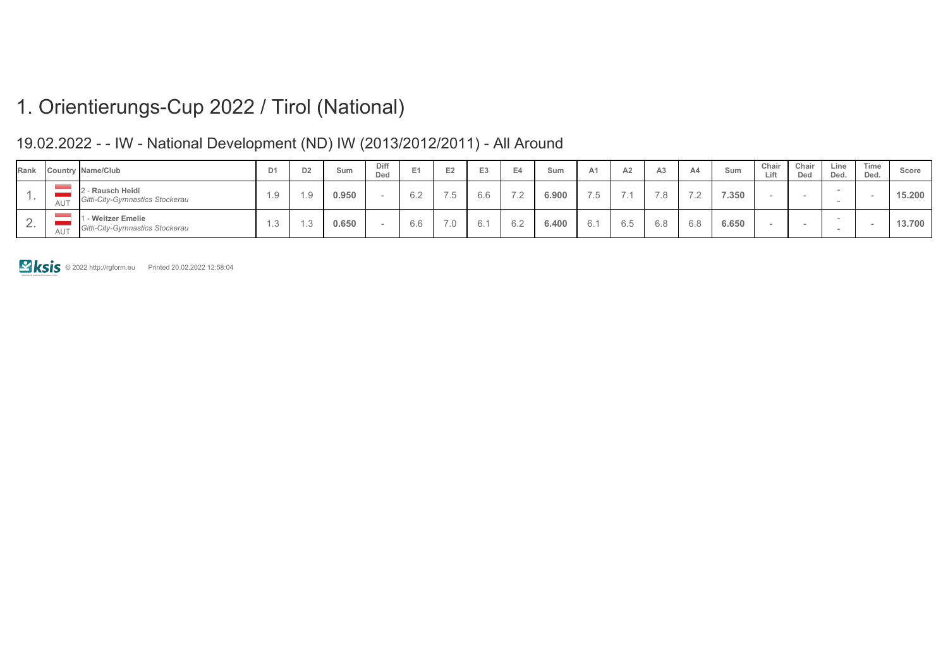| Rank     |           | <b>Country Name/Club</b>                              |            | DΖ | Sum   | Diff<br>Ded | . . | E <sub>2</sub>         | E <sub>3</sub>      | Sum   | A1.       | A2                | A3  | A4  | Sum   | Chair<br>Lift | Chair<br>Ded | Line<br>Ded. | Time<br>Ded. | Score  |
|----------|-----------|-------------------------------------------------------|------------|----|-------|-------------|-----|------------------------|---------------------|-------|-----------|-------------------|-----|-----|-------|---------------|--------------|--------------|--------------|--------|
|          | AU        | 2 - Rausch Heidi<br>Gitti-City-Gymnastics Stockerau   |            |    | 0.950 |             | 6.2 | $ -$<br>$\overline{a}$ | 6.6                 | 6.900 | <b>75</b> |                   | 70  |     | 7.350 |               |              |              |              | 15.200 |
| <u>.</u> | <b>AU</b> | 1 - Weitzer Emelie<br>Gitti-City-Gymnastics Stockerau | $\sqrt{2}$ |    | 0.650 |             | 6.6 | 7 Q<br>$\cdot$ $\circ$ | $\sim$ $\sim$<br>б. | 6.400 |           | $\sim$ $-$<br>6.0 | 6.8 | 6.8 | 6.650 |               |              |              |              | 13.700 |

### 19.02.2022 - - IW - National Development (ND) IW (2013/2012/2011) - All Around

© 2022 http://rgform.eu Printed 20.02.2022 12:58:04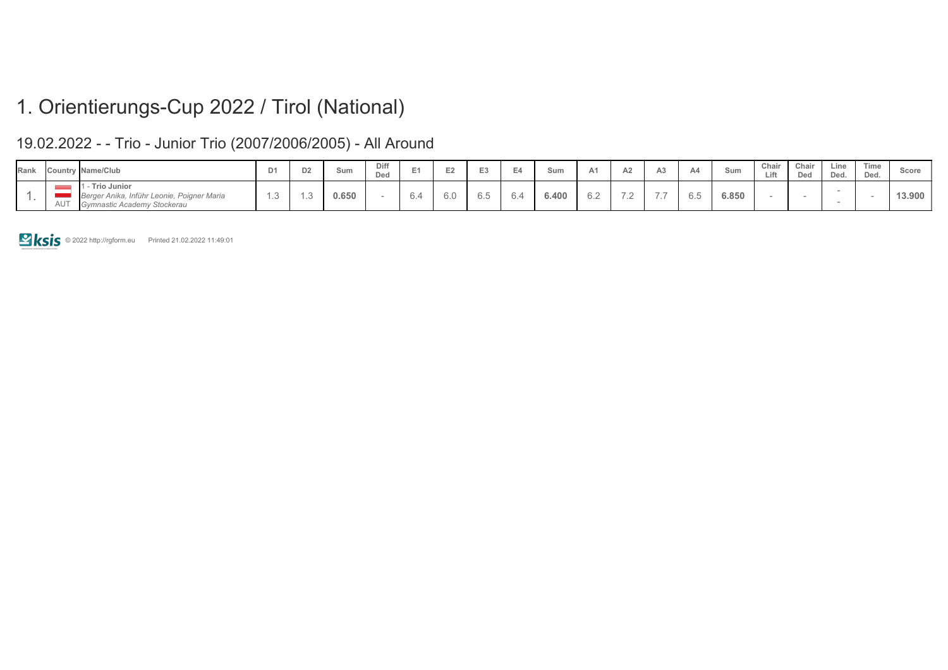### 19.02.2022 - - Trio - Junior Trio (2007/2006/2005) - All Around

| Rank |            | Country Name/Club                                                                        | D <sub>1</sub> | D <sub>2</sub> | Sum   | Diff<br>Ded |               |     |                   |     | Sum   | $\sim$                          | AA  | Sum   | Chair<br>ift<br>--- | Chair<br>Ded | Line<br>Ded. | Time<br>Ded. | Score  |
|------|------------|------------------------------------------------------------------------------------------|----------------|----------------|-------|-------------|---------------|-----|-------------------|-----|-------|---------------------------------|-----|-------|---------------------|--------------|--------------|--------------|--------|
|      | <b>AUT</b> | Trio Junior<br>Berger Anika, Inführ Leonie, Poigner Maria<br>Gymnastic Academy Stockerau |                |                | 0.650 |             | $\sim$<br>O.4 | o.u | $\sim$ $-$<br>0.O | ∪.∼ | 6.400 | $\overline{\phantom{0}}$<br>$-$ | 0.5 | 6.850 |                     |              |              |              | 13.900 |

**E ksis** © 2022 http://rgform.eu Printed 21.02.2022 11:49:01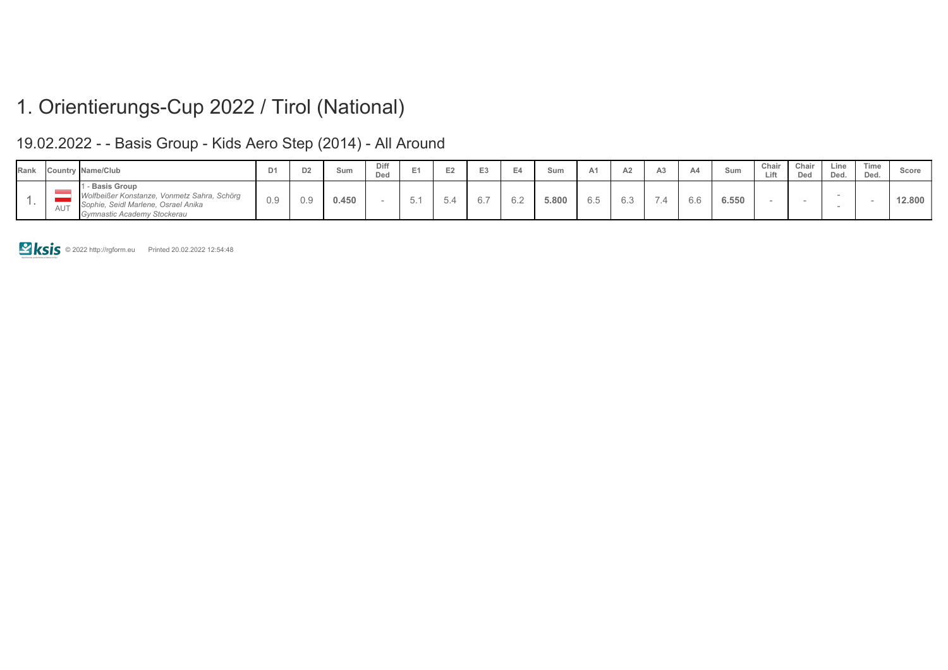#### 19.02.2022 - - Basis Group - Kids Aero Step (2014) - All Around

| Rank |            | Country Name/Club                                                                                                                  | $D^*$ | D <sub>2</sub> | Sum   | Diff<br>Ded | - | E <sub>2</sub> | Sum   | A <sub>1</sub>       | A2  |                          |     | Sum   | Chair<br>Lift | Chair<br>Ded | Line<br>Ded. | Time<br>Ded. | Score  |
|------|------------|------------------------------------------------------------------------------------------------------------------------------------|-------|----------------|-------|-------------|---|----------------|-------|----------------------|-----|--------------------------|-----|-------|---------------|--------------|--------------|--------------|--------|
|      | <b>AUT</b> | - Basis Group<br>Wolfbeißer Konstanze, Vonmetz Sahra, Schörg<br>Sophie, Seidl Marlene, Osrael Anika<br>Gymnastic Academy Stockerau | 0.9   | 0.9            | 0.450 |             |   | $\sim$ $-$     | 5.800 | $\sim$ $\sim$<br>6.5 | 6.3 | $\overline{\phantom{a}}$ | b.c | 6.550 |               |              |              |              | 12.800 |

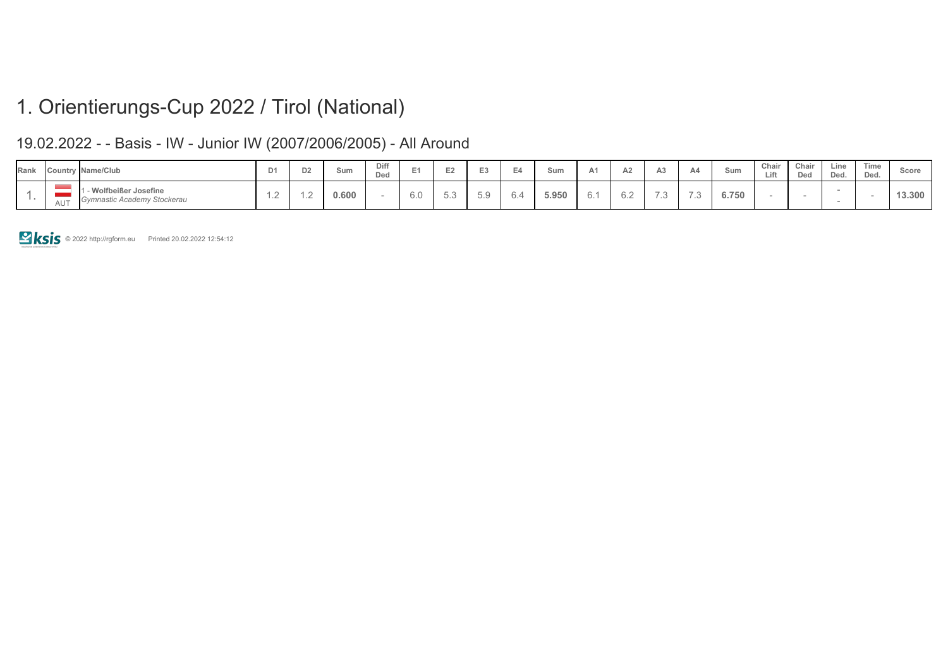### 19.02.2022 - - Basis - IW - Junior IW (2007/2006/2005) - All Around

| Rank |            | Country Name/Club                                  | D <sub>1</sub> | D2 | Sum   | Diff<br>Ded |     |                 |                               |     | sum   | $A \Omega$<br>∼                |     | Sum   | Chair<br>Lift | Chair<br>Ded | ∟ine<br>Ded. | Time<br>Ded. | Scor∈  |
|------|------------|----------------------------------------------------|----------------|----|-------|-------------|-----|-----------------|-------------------------------|-----|-------|--------------------------------|-----|-------|---------------|--------------|--------------|--------------|--------|
|      | $A \cup T$ | Wolfbeißer Josefine<br>Gymnastic Academy Stockerau | $\sim$<br>$-$  |    | 0.600 |             | 6.0 | $\cup$ . $\cup$ | $F \Omega$<br>$\cup$ . $\cup$ | ◡.- | 5.950 | $\sim$<br>$\cup$ . $\subseteq$ | . . | 6.750 |               |              |              |              | 13.300 |

**EXIS** © 2022 http://rgform.eu Printed 20.02.2022 12:54:12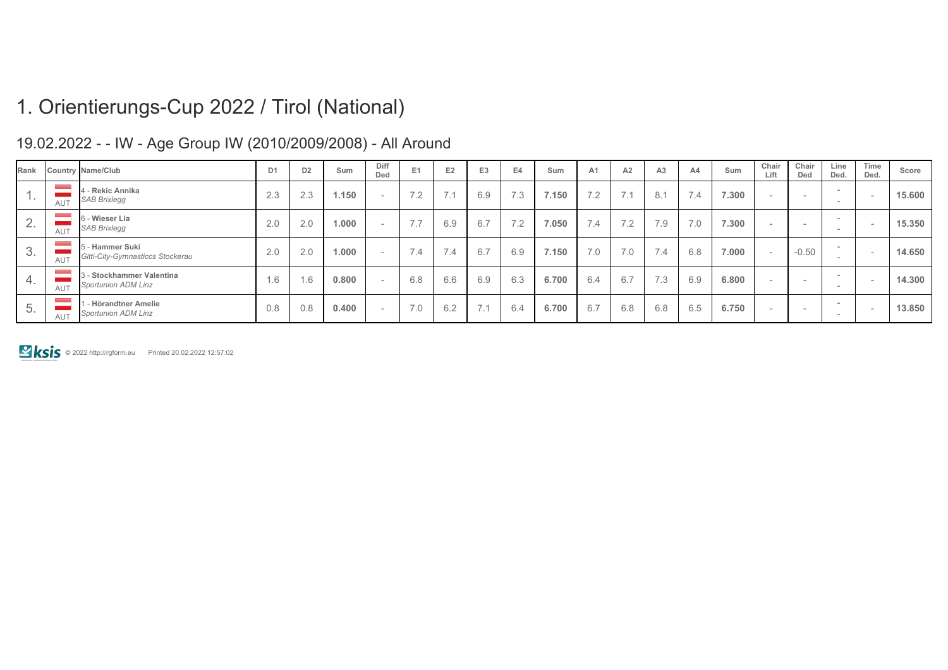### 19.02.2022 - - IW - Age Group IW (2010/2009/2008) - All Around

| Rank                           |            | Country Name/Club                                   | D <sub>1</sub> | D <sub>2</sub> | Sum   | Diff<br>Ded              | E <sub>1</sub>                                        | E <sub>2</sub> | E <sub>3</sub> | E4  | Sum   | A <sub>1</sub> | A2                  | A <sub>3</sub> | A <sub>4</sub>               | Sum   | Chair<br>Lift | Chair<br>Ded             | Line<br>Ded.                       | Time<br>Ded. | Score  |
|--------------------------------|------------|-----------------------------------------------------|----------------|----------------|-------|--------------------------|-------------------------------------------------------|----------------|----------------|-----|-------|----------------|---------------------|----------------|------------------------------|-------|---------------|--------------------------|------------------------------------|--------------|--------|
|                                | AUT        | - Rekic Annika<br><b>SAB Brixlegg</b>               | 2.3            | 2.3            | 1.150 | $\sim$                   | 7 <sub>2</sub><br>$\overline{\phantom{a}}$ . $\angle$ | $\rightarrow$  | 6.9            | 7.3 | 7.150 | 7.2            | $\rightarrow$<br>-4 | 8.1            | $\rightarrow$<br>$\angle$ .4 | 7.300 |               | $\overline{\phantom{0}}$ | -<br>$\overline{\phantom{a}}$      |              | 15.600 |
| $\sim$                         | <b>AUT</b> | 6 - Wieser Lia<br><b>SAB Brixlegg</b>               | 2.0            | 2.0            | 1.000 | <b>COLUM</b>             | 77<br>$\left  \cdot \right $                          | 6.9            | 6.7            | 7.2 | 7.050 | 7.4            | 7.2                 | 7.9            | 7.0                          | 7.300 | $\sim$        | $\overline{\phantom{0}}$ | $\sim$<br>$\overline{\phantom{a}}$ |              | 15.350 |
| 3.                             | AUT        | 5 - Hammer Suki<br>Gitti-City-Gymnasticcs Stockerau | 2.0            | 2.0            | 1.000 | <b>COLUM</b>             | $\overline{7}$<br>7.4                                 | 7.4            | 6.7            | 6.9 | 7.150 | 7.0            | 7.0                 | 7.4            | 6.8                          | 7.000 |               | $-0.50$                  | $\overline{\phantom{a}}$<br>-      |              | 14.650 |
| 4.                             | <b>AUT</b> | - Stockhammer Valentina<br>Sportunion ADM Linz      | 6.6            | 1.6            | 0.800 | $\sim$                   | 6.8                                                   | 6.6            | 6.9            | 6.3 | 6.700 | 6.4            | 6.7                 | 7.3            | 6.9                          | 6.800 |               | $\overline{\phantom{0}}$ | $\overline{\phantom{a}}$<br>-      |              | 14.300 |
| $\overline{\phantom{a}}$<br>5. | AUT        | - Hörandtner Amelie<br><b>Sportunion ADM Linz</b>   | 0.8            | 0.8            | 0.400 | $\overline{\phantom{a}}$ | 7.0                                                   | 6.2            | 7.1            | 6.4 | 6.700 | 6.7            | 6.8                 | 6.8            | 6.5                          | 6.750 |               | $\overline{\phantom{0}}$ | $\overline{\phantom{a}}$<br>$\sim$ |              | 13.850 |

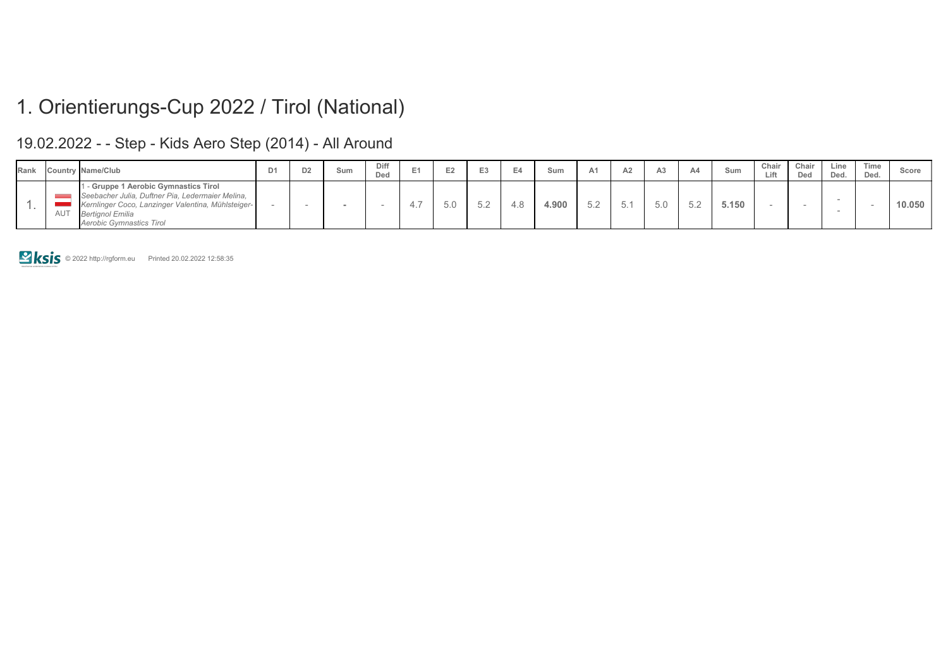### 19.02.2022 - - Step - Kids Aero Step (2014) - All Around

| Rank |            | Country Name/Club                                                                                                                                                                                           | D <sub>2</sub> | Sum | Diff<br>Ded |       | $-2$          | Sum               | A2 |     | Sum   | Chair<br>Lift | Chair<br>Dec | Line<br>Ded. | Time<br>Ded. | Score  |
|------|------------|-------------------------------------------------------------------------------------------------------------------------------------------------------------------------------------------------------------|----------------|-----|-------------|-------|---------------|-------------------|----|-----|-------|---------------|--------------|--------------|--------------|--------|
|      | <b>AUT</b> | - Gruppe 1 Aerobic Gymnastics Tirol<br>Seebacher Julia, Duftner Pia, Ledermaier Melina,<br>Kernlinger Coco, Lanzinger Valentina, Mühlsteiger-<br><b>Bertignol Emilia</b><br><b>Aerobic Gymnastics Tirol</b> |                |     |             | - 4., | $\sim$ $\sim$ | 4.90 <sup>°</sup> |    | 5.0 | 5.150 |               |              |              |              | 10.050 |

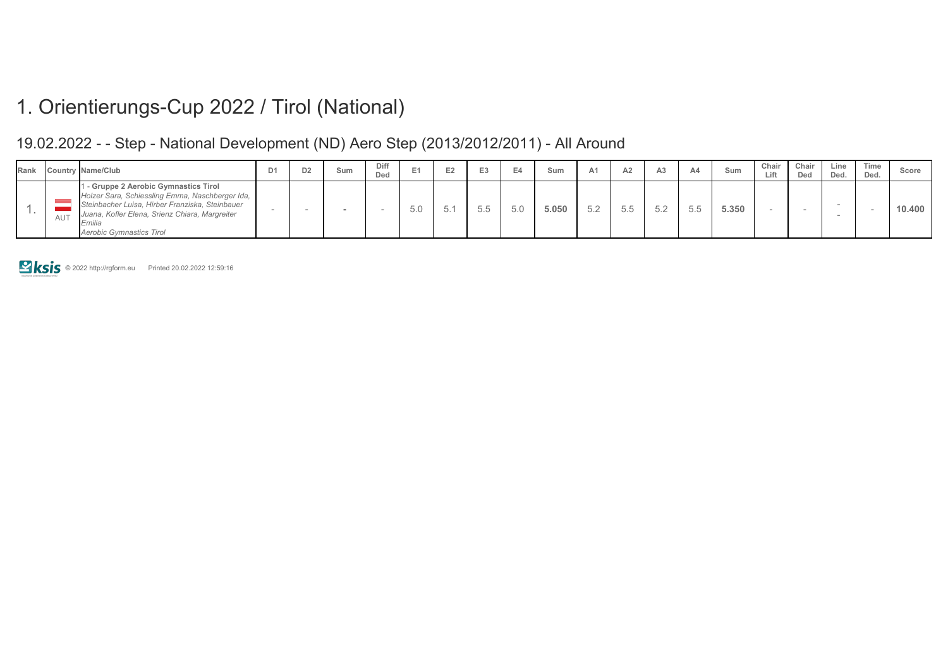#### 19.02.2022 - - Step - National Development (ND) Aero Step (2013/2012/2011) - All Around

| Rank |     | <b>Country Name/Club</b>                                                                                                                                                                                                | D <sub>1</sub> | D <sub>2</sub> | Sum | Diff<br>Ded |                |              |     | Sum   | A1 |  | Sum   | Chair<br>Lift | Chair<br>Ded | Line<br>Ded. | Time<br>Ded. | Score  |
|------|-----|-------------------------------------------------------------------------------------------------------------------------------------------------------------------------------------------------------------------------|----------------|----------------|-----|-------------|----------------|--------------|-----|-------|----|--|-------|---------------|--------------|--------------|--------------|--------|
|      | AUT | - Gruppe 2 Aerobic Gymnastics Tirol<br>Holzer Sara, Schiessling Emma, Naschberger Ida,<br>Steinbacher Luisa, Hirber Franziska, Steinbauer<br>Juana, Kofler Elena, Srienz Chiara, Margreiter<br>Aerobic Gymnastics Tirol |                |                |     |             | $\sim$ 1<br>いい | $- -$<br>5.5 | 5.0 | 5.050 |    |  | 5.350 |               |              |              |              | 10.400 |

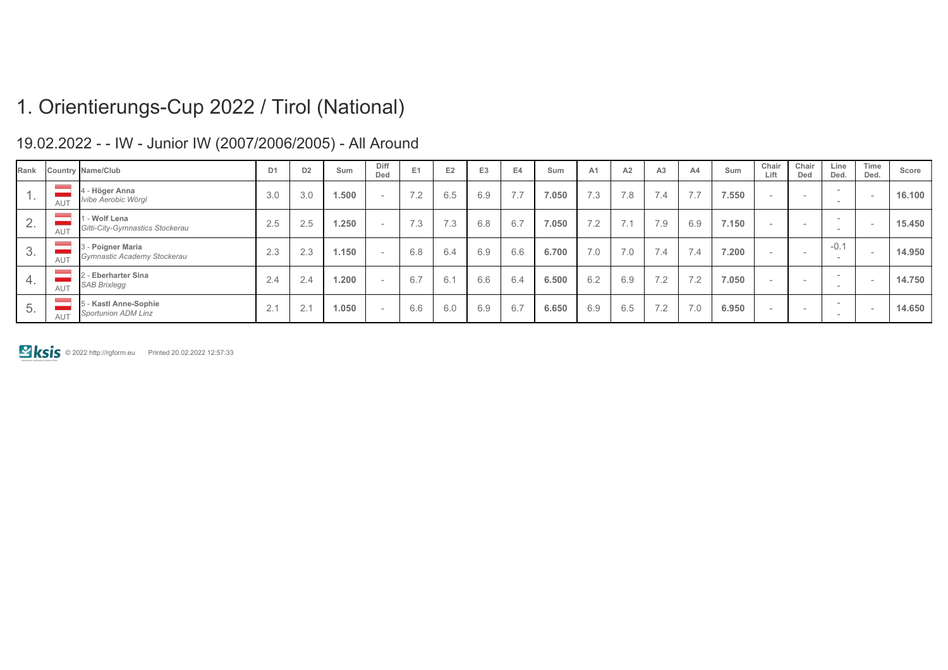| Rank     |            | Country Name/Club                                   | D <sub>1</sub>                    | D <sub>2</sub> | Sum   | Diff<br>Ded | E <sub>1</sub> | E <sub>2</sub> | E <sub>3</sub> | E4       | Sum   | A <sub>1</sub> | A2                                                | A <sub>3</sub> | A4  | Sum   | Chair<br>Lift            | Chair<br>Ded             | Line<br>Ded.                              | Time<br>Ded. | Score  |
|----------|------------|-----------------------------------------------------|-----------------------------------|----------------|-------|-------------|----------------|----------------|----------------|----------|-------|----------------|---------------------------------------------------|----------------|-----|-------|--------------------------|--------------------------|-------------------------------------------|--------------|--------|
|          | AUT        | 4 - Höger Anna<br>Ivibe Aerobic Wörgl               | 3.0                               | 3.0            | 1.500 |             | 7.2            | 6.5            | 6.9            | $\cdots$ | 7.050 | 7.3            | 7.8                                               | 7.4            | 7.7 | 7.550 | $\sim$                   | $\overline{\phantom{a}}$ | $\sim$<br>-                               |              | 16.100 |
| <u>_</u> | <b>AUT</b> | 1 - Wolf Lena<br>Gitti-City-Gymnastics Stockerau    | 2.5                               | 2.5            | 1.250 |             | 7.3            | 7.3            | 6.8            | 6.7      | 7.050 | 7.2            | $\overline{\phantom{a}}$ $\overline{\phantom{a}}$ | 7.9            | 6.9 | 7.150 | $\overline{\phantom{0}}$ | $\overline{\phantom{a}}$ | $\hspace{0.1mm}-\hspace{0.1mm}$<br>$\sim$ |              | 15.450 |
|          | AUT        | 3 - Poigner Maria<br>Gymnastic Academy Stockerau    | $\Omega$<br>2.3                   | 2.3            | 1.150 |             | 6.8            | 6.4            | 6.9            | 6.6      | 6.700 | 7.0            | 7.0                                               | 7.4            | 7.4 | 7.200 | -                        |                          | $-0.1$<br>-                               |              | 14.950 |
| 4.       | <b>AUT</b> | 2 - Eberharter Sina<br><b>SAB Brixlegg</b>          | 2.4                               | 2.4            | 1.200 |             | 6.7            | 6.1            | 6.6            | 6.4      | 6.500 | 6.2            | 6.9                                               | 7.2            | 7.2 | 7.050 |                          | $\overline{\phantom{a}}$ | $\sim$<br>$\sim$                          |              | 14.750 |
| 5.       | <b>AUT</b> | 5 - Kastl Anne-Sophie<br><b>Sportunion ADM Linz</b> | $\bigcap$ $\bigcap$<br>$\angle$ . | 2.1            | 1.050 |             | 6.6            | 6.0            | 6.9            | 6.7      | 6.650 | 6.9            | 6.5                                               | 7.2            | 7.0 | 6.950 | $\sim$                   | $\overline{\phantom{a}}$ | $\hspace{0.1mm}-\hspace{0.1mm}$<br>$\sim$ |              | 14.650 |

### 19.02.2022 - - IW - Junior IW (2007/2006/2005) - All Around

© 2022 http://rgform.eu Printed 20.02.2022 12:57:33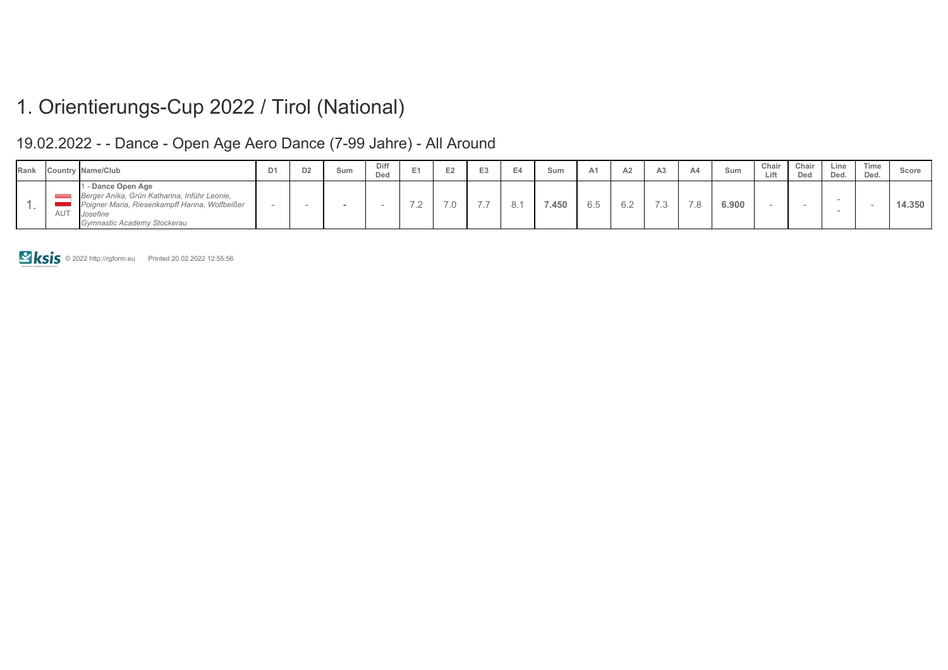### 19.02.2022 - - Dance - Open Age Aero Dance (7-99 Jahre) - All Around

| Rank |     | Country Name/Club                                                                                                                                                     | D1 | D <sub>2</sub> | Sum | Diff<br>Dea | $\sim$                        | ⊢                             | E <sub>3</sub> | Sum   | A <sup>1</sup> |    |                          | A4                       | Sum   | Chair<br>Lift | Chair<br>Dec | Line<br>Ded. | Time<br>Ded. | Score  |
|------|-----|-----------------------------------------------------------------------------------------------------------------------------------------------------------------------|----|----------------|-----|-------------|-------------------------------|-------------------------------|----------------|-------|----------------|----|--------------------------|--------------------------|-------|---------------|--------------|--------------|--------------|--------|
|      | AUT | <b>1 - Dance Open Age</b><br>Berger Anika, Grün Katharina, Inführ Leonie,<br>Poigner Maria, Riesenkampff Hanna, Wolfbeißer<br>Josefine<br>Gymnastic Academy Stockerau |    |                |     |             | $\overline{\phantom{0}}$<br>. | $\overline{z}$ $\overline{z}$ | $- -$          | 7.450 | 6.5            | 62 | $\overline{\phantom{0}}$ | $\overline{\phantom{0}}$ | 6.900 |               |              |              |              | 14.350 |

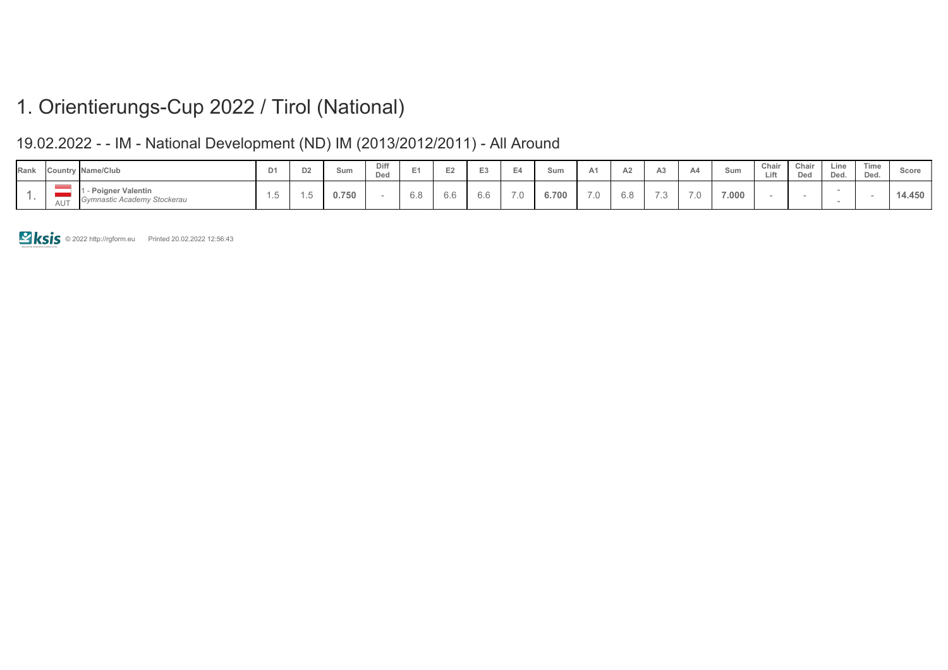### 19.02.2022 - - IM - National Development (ND) IM (2013/2012/2011) - All Around

| Rank |            | Country Name/Club                                      | D1      | D2              | Sum   | Diff<br>Ded |     |     | $-$                  |     | Sum   |                          | $\sim$ | Aś              | Sum   | Chair<br>Lift | Chair<br>Ded | Line<br>Ded. | Time<br>Ded. | Score |
|------|------------|--------------------------------------------------------|---------|-----------------|-------|-------------|-----|-----|----------------------|-----|-------|--------------------------|--------|-----------------|-------|---------------|--------------|--------------|--------------|-------|
|      | $A \cup T$ | <b>Poigner Valentin</b><br>Gymnastic Academy Stockerau | $\cdot$ | $\cdot$ $\circ$ | 0.750 |             | 6.8 | 0.O | $\sim$ $\sim$<br>0.0 | 7.0 | 6.700 | $\overline{\phantom{0}}$ | O.O    | $\cdot$ $\circ$ | 7.000 |               |              |              |              | 4.450 |

© 2022 http://rgform.eu Printed 20.02.2022 12:56:43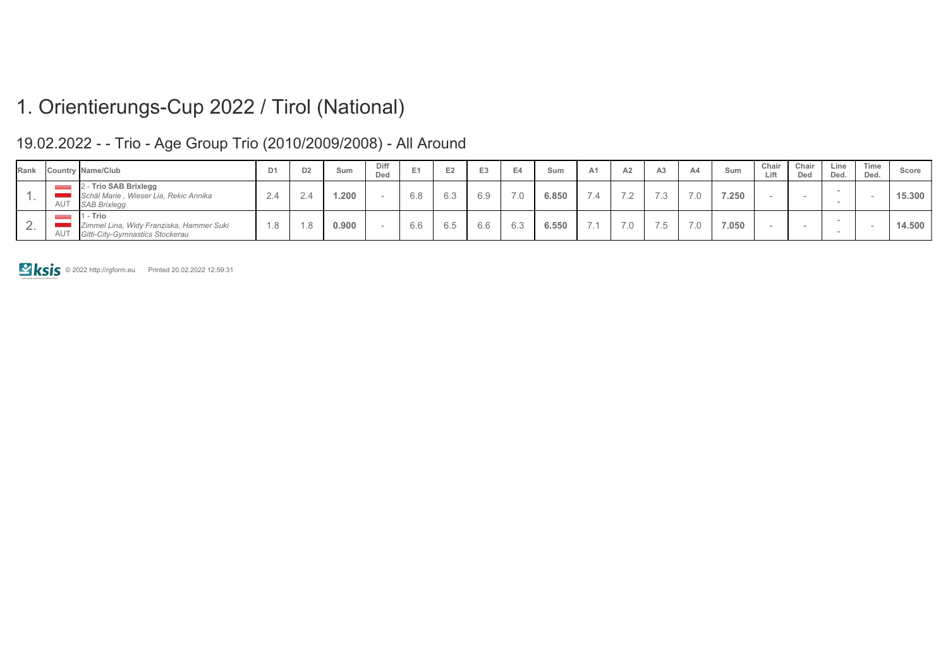| Rank     |     | Country Name/Club                                                                       | D <sub>1</sub> | D <sub>2</sub> | Sum   | Diff<br>Ded | E   |     | E <sub>3</sub> |     | Sum   | A <sub>1</sub>           | A2                       | A <sub>3</sub>              | A4            | Sum   | Chair<br>Lift | Chair<br>Ded | Line<br>Ded. | Time<br>Ded. | Score  |
|----------|-----|-----------------------------------------------------------------------------------------|----------------|----------------|-------|-------------|-----|-----|----------------|-----|-------|--------------------------|--------------------------|-----------------------------|---------------|-------|---------------|--------------|--------------|--------------|--------|
| . .      | AUT | - Trio SAB Brixlegg<br>Schäl Marie, Wieser Lia, Rekic Annika<br><b>SAB Brixlegg</b>     | $\Delta$       |                | .200  |             | 6.8 | 6.3 | 6.9            | 7.0 | 6.850 | $\overline{\phantom{a}}$ | $\overline{\phantom{0}}$ | 72                          | $\rightarrow$ | 7.250 |               |              |              |              | 15,300 |
| <u>_</u> | AUT | 1 - Trio<br>Zimmel Lina, Widy Franziska, Hammer Suki<br>Gitti-City-Gymnastics Stockerau | .8             |                | 0.900 |             | 6.6 | 6.5 | 6.6            | 6.3 | 6.550 | $\overline{\phantom{a}}$ | 7.0                      | $\rightarrow$ $\rightarrow$ | 70            | 7.050 |               |              |              |              | 14.500 |

### 19.02.2022 - - Trio - Age Group Trio (2010/2009/2008) - All Around

**E ksis** © 2022 http://rgform.eu Printed 20.02.2022 12:59:31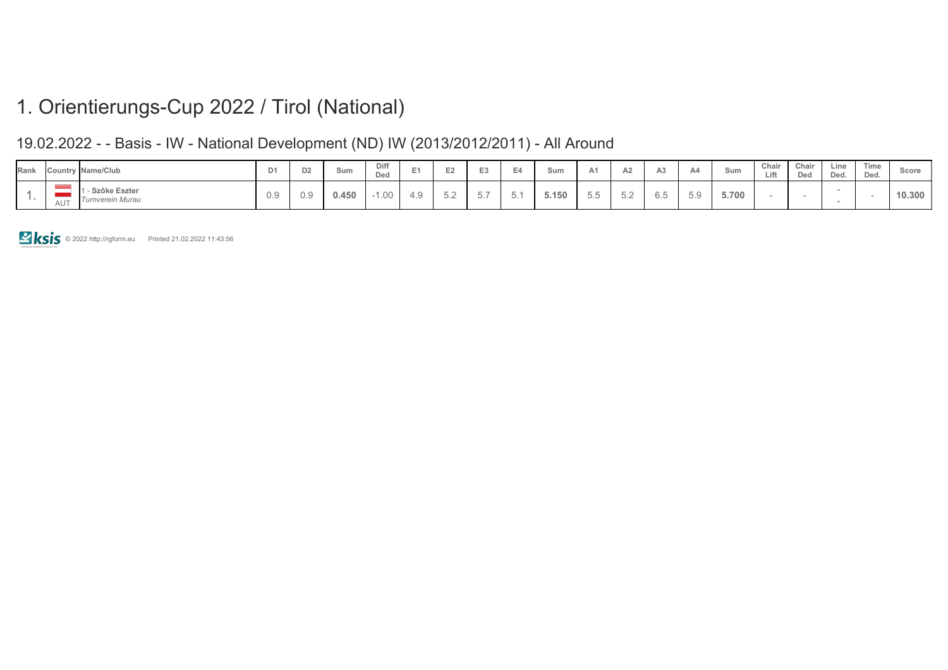### 19.02.2022 - - Basis - IW - National Development (ND) IW (2013/2012/2011) - All Around

| Rank |                 | <b>Country Name/Club</b>           | D <sub>1</sub> | D2  | Sum   | Diff<br>Ded |                   |                    | $\sim$                     |        | Sum   |     | $\sim$<br>ΑZ       |     | Sum   | Chair<br>Lift | Chair<br>Ded | Line<br>Ded. | Time<br>Ded. | Score  |
|------|-----------------|------------------------------------|----------------|-----|-------|-------------|-------------------|--------------------|----------------------------|--------|-------|-----|--------------------|-----|-------|---------------|--------------|--------------|--------------|--------|
|      | AU <sup>-</sup> | - Szőke Eszter<br>Turnverein Murau | 0.9            | 0.9 | 0.450 | 1.00        | 4 Q<br><u>. .</u> | $\cup$ . $\subset$ | $- -$<br>$\sqrt{2}$<br>، ب | . J. . | 5.150 | U.U | $\cup$ . $\subset$ | 0.O | 5.700 |               |              |              |              | 10.300 |

**EXIS © 2022 http://rgform.eu Printed 21.02.2022 11:43:56**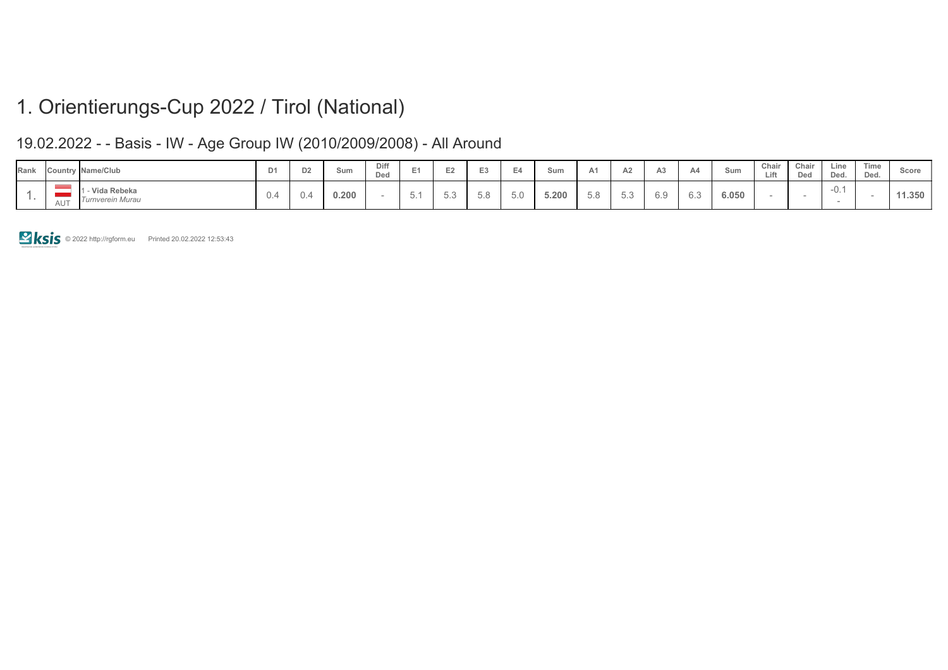### 19.02.2022 - - Basis - IW - Age Group IW (2010/2009/2008) - All Around

| Rank |                 | Country Name/Club                 | D <sub>1</sub> | D <sub>2</sub> | Sum   | Diff<br>Ded |                                       | __  |     |     | Sum   |                | $\sim$<br>AZ      | A4  | Sum   | Chair<br>Lift | Chair<br>Ded | Line<br>Ded. | Time<br>Ded. | Score |
|------|-----------------|-----------------------------------|----------------|----------------|-------|-------------|---------------------------------------|-----|-----|-----|-------|----------------|-------------------|-----|-------|---------------|--------------|--------------|--------------|-------|
|      | AU <sub>1</sub> | - Vida Rebeka<br>Turnverein Murau | U.4            | U.             | 0.200 |             | $\overline{\phantom{a}}$<br>n<br>◡. । | U.U | 5.8 | v.v | 5.200 | $ \sim$<br>J.O | $\sqrt{2}$<br>◡.◡ | ∪.∪ | 6.050 |               |              | -v. .        |              | 1.350 |

© 2022 http://rgform.eu Printed 20.02.2022 12:53:43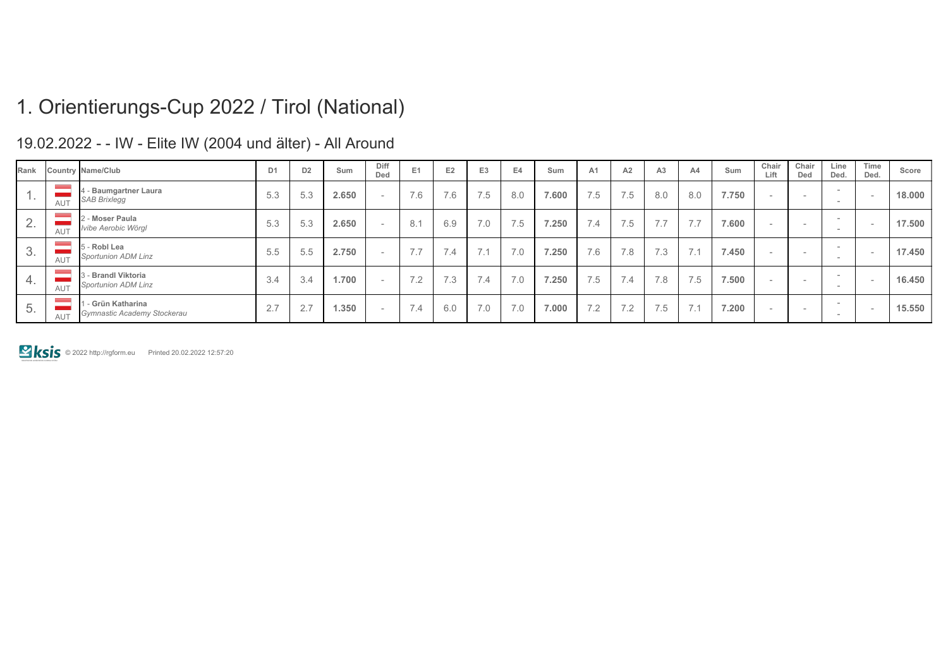| Rank   |            | <b>Country Name/Club</b>                          | D <sub>1</sub> | D <sub>2</sub> | Sum   | Diff<br>Ded  | E <sub>1</sub>               | E <sub>2</sub> | E <sub>3</sub>                         | E4  | Sum   | A <sub>1</sub> | A2  | A <sub>3</sub>                         | A4  | Sum   | Chair<br>Lift            | Chair<br>Ded             | Line<br>Ded.                                                | Time<br>Ded. | Score  |
|--------|------------|---------------------------------------------------|----------------|----------------|-------|--------------|------------------------------|----------------|----------------------------------------|-----|-------|----------------|-----|----------------------------------------|-----|-------|--------------------------|--------------------------|-------------------------------------------------------------|--------------|--------|
|        | AUT        | 4 - Baumgartner Laura<br><b>SAB Brixlegg</b>      | 5.3            | 5.3            | 2.650 | <b>COLUM</b> | 7.6                          | 7.6            | 7.5                                    | 8.0 | 7.600 | 7.5            | 7.5 | 8.0                                    | 8.0 | 7.750 | $\sim$                   | $\overline{\phantom{a}}$ | $\sim$<br>-                                                 |              | 18.000 |
| $\sim$ | <b>AUT</b> | 2 - Moser Paula<br>Ivibe Aerobic Wörgl            | 5.3            | 5.3            | 2.650 |              | 8.1                          | 6.9            | 7.0                                    | 7.5 | 7.250 | 7.4            | 7.5 | $\overline{\phantom{0}}$<br>$\sqrt{1}$ | 7.7 | 7.600 |                          | $\overline{\phantom{a}}$ | $\hspace{0.1mm}-\hspace{0.1mm}$<br>$\overline{\phantom{0}}$ |              | 17.500 |
| O.     | <b>AUT</b> | 5 - Robl Lea<br><b>Sportunion ADM Linz</b>        | 5.5            | 5.5            | 2.750 |              | 7.7                          | 7.4            | $\overline{\phantom{a}}$<br>$\sqrt{1}$ | 7.0 | 7.250 | 7.6            | 7.8 | 7.3                                    | 7.1 | 7.450 | $\sim$                   | $\overline{\phantom{a}}$ | $\hspace{0.1mm}-\hspace{0.1mm}$<br>$\sim$                   |              | 17.450 |
| 4.     | <b>AUT</b> | 3 - Brandl Viktoria<br>Sportunion ADM Linz        | 3.4            | 3.4            | 1.700 |              | 7 <sub>2</sub><br>$\sqrt{2}$ | 7.3            | 7.4                                    | 7.0 | 7.250 | 7.5            | 7.4 | 7.8                                    | 7.5 | 7.500 |                          | $\overline{\phantom{a}}$ | $\sim$<br>$\overline{\phantom{a}}$                          |              | 16.450 |
| b.     | <b>AUT</b> | 1 - Grün Katharina<br>Gymnastic Academy Stockerau | 2.7            | 2.7            | 1.350 |              | 7.4                          | 6.0            | 7.0                                    | 7.0 | 7.000 | 7.2            | 7.2 | 7.5                                    | 7.1 | 7.200 | $\overline{\phantom{0}}$ | $\overline{\phantom{a}}$ | $\overline{\phantom{a}}$<br>-                               |              | 15.550 |

19.02.2022 - - IW - Elite IW (2004 und älter) - All Around